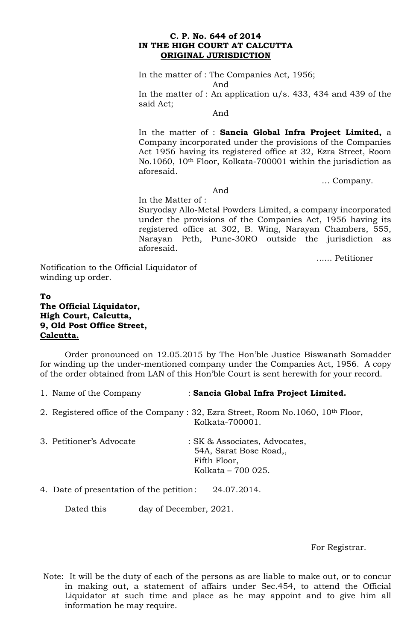### **C. P. No. 644 of 2014 IN THE HIGH COURT AT CALCUTTA ORIGINAL JURISDICTION**

In the matter of : The Companies Act, 1956;

And

In the matter of : An application u/s. 433, 434 and 439 of the said Act;

And

In the matter of : **Sancia Global Infra Project Limited,** a Company incorporated under the provisions of the Companies Act 1956 having its registered office at 32, Ezra Street, Room No.1060, 10th Floor, Kolkata-700001 within the jurisdiction as aforesaid.

… Company.

And

In the Matter of : Suryoday Allo-Metal Powders Limited, a company incorporated under the provisions of the Companies Act, 1956 having its registered office at 302, B. Wing, Narayan Chambers, 555, Narayan Peth, Pune-30RO outside the jurisdiction as aforesaid.

...... Petitioner

Notification to the Official Liquidator of winding up order.

## **To The Official Liquidator, High Court, Calcutta, 9, Old Post Office Street, Calcutta.**

Order pronounced on 12.05.2015 by The Hon'ble Justice Biswanath Somadder for winding up the under-mentioned company under the Companies Act, 1956. A copy of the order obtained from LAN of this Hon'ble Court is sent herewith for your record.

| 1. Name of the Company | : Sancia Global Infra Project Limited. |
|------------------------|----------------------------------------|
|------------------------|----------------------------------------|

2. Registered office of the Company : 32, Ezra Street, Room No.1060, 10th Floor, Kolkata-700001.

| 3. Petitioner's Advocate | : SK & Associates, Advocates, |
|--------------------------|-------------------------------|
|                          | 54A, Sarat Bose Road,         |
|                          | Fifth Floor,                  |
|                          | Kolkata – 700 025.            |

4. Date of presentation of the petition: 24.07.2014.

Dated this day of December, 2021.

For Registrar.

Note: It will be the duty of each of the persons as are liable to make out, or to concur in making out, a statement of affairs under Sec.454, to attend the Official Liquidator at such time and place as he may appoint and to give him all information he may require.